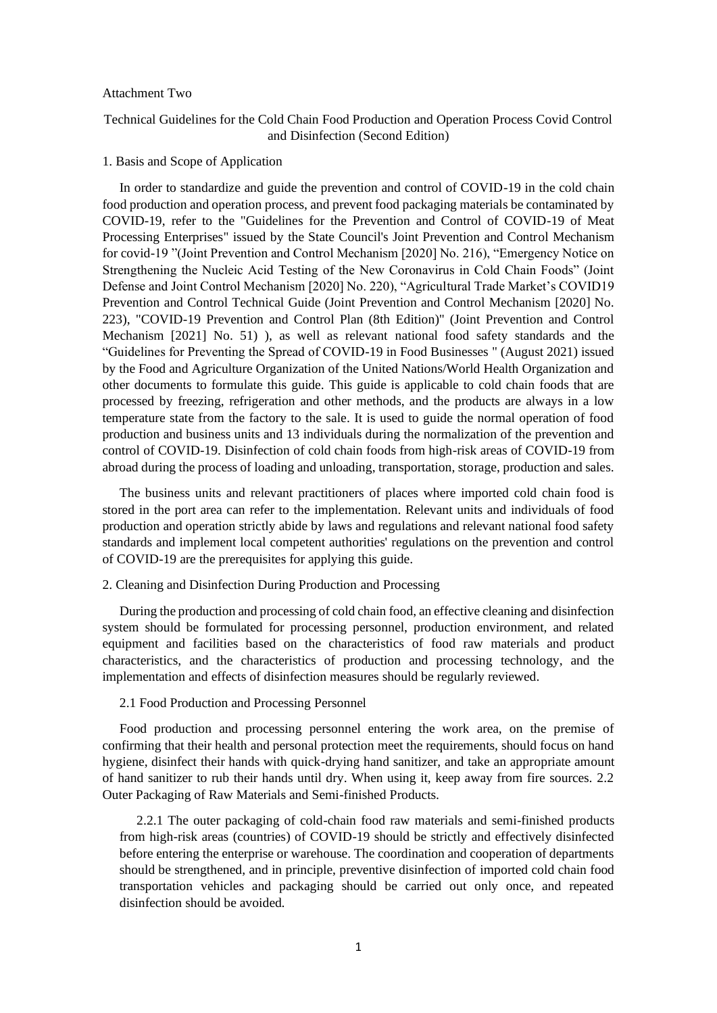#### Attachment Two

# Technical Guidelines for the Cold Chain Food Production and Operation Process Covid Control and Disinfection (Second Edition)

#### 1. Basis and Scope of Application

In order to standardize and guide the prevention and control of COVID-19 in the cold chain food production and operation process, and prevent food packaging materials be contaminated by COVID-19, refer to the "Guidelines for the Prevention and Control of COVID-19 of Meat Processing Enterprises" issued by the State Council's Joint Prevention and Control Mechanism for covid-19 "(Joint Prevention and Control Mechanism [2020] No. 216), "Emergency Notice on Strengthening the Nucleic Acid Testing of the New Coronavirus in Cold Chain Foods" (Joint Defense and Joint Control Mechanism [2020] No. 220), "Agricultural Trade Market's COVID19 Prevention and Control Technical Guide (Joint Prevention and Control Mechanism [2020] No. 223), "COVID-19 Prevention and Control Plan (8th Edition)" (Joint Prevention and Control Mechanism [2021] No. 51) ), as well as relevant national food safety standards and the "Guidelines for Preventing the Spread of COVID-19 in Food Businesses " (August 2021) issued by the Food and Agriculture Organization of the United Nations/World Health Organization and other documents to formulate this guide. This guide is applicable to cold chain foods that are processed by freezing, refrigeration and other methods, and the products are always in a low temperature state from the factory to the sale. It is used to guide the normal operation of food production and business units and 13 individuals during the normalization of the prevention and control of COVID-19. Disinfection of cold chain foods from high-risk areas of COVID-19 from abroad during the process of loading and unloading, transportation, storage, production and sales.

The business units and relevant practitioners of places where imported cold chain food is stored in the port area can refer to the implementation. Relevant units and individuals of food production and operation strictly abide by laws and regulations and relevant national food safety standards and implement local competent authorities' regulations on the prevention and control of COVID-19 are the prerequisites for applying this guide.

2. Cleaning and Disinfection During Production and Processing

During the production and processing of cold chain food, an effective cleaning and disinfection system should be formulated for processing personnel, production environment, and related equipment and facilities based on the characteristics of food raw materials and product characteristics, and the characteristics of production and processing technology, and the implementation and effects of disinfection measures should be regularly reviewed.

## 2.1 Food Production and Processing Personnel

Food production and processing personnel entering the work area, on the premise of confirming that their health and personal protection meet the requirements, should focus on hand hygiene, disinfect their hands with quick-drying hand sanitizer, and take an appropriate amount of hand sanitizer to rub their hands until dry. When using it, keep away from fire sources. 2.2 Outer Packaging of Raw Materials and Semi-finished Products.

2.2.1 The outer packaging of cold-chain food raw materials and semi-finished products from high-risk areas (countries) of COVID-19 should be strictly and effectively disinfected before entering the enterprise or warehouse. The coordination and cooperation of departments should be strengthened, and in principle, preventive disinfection of imported cold chain food transportation vehicles and packaging should be carried out only once, and repeated disinfection should be avoided.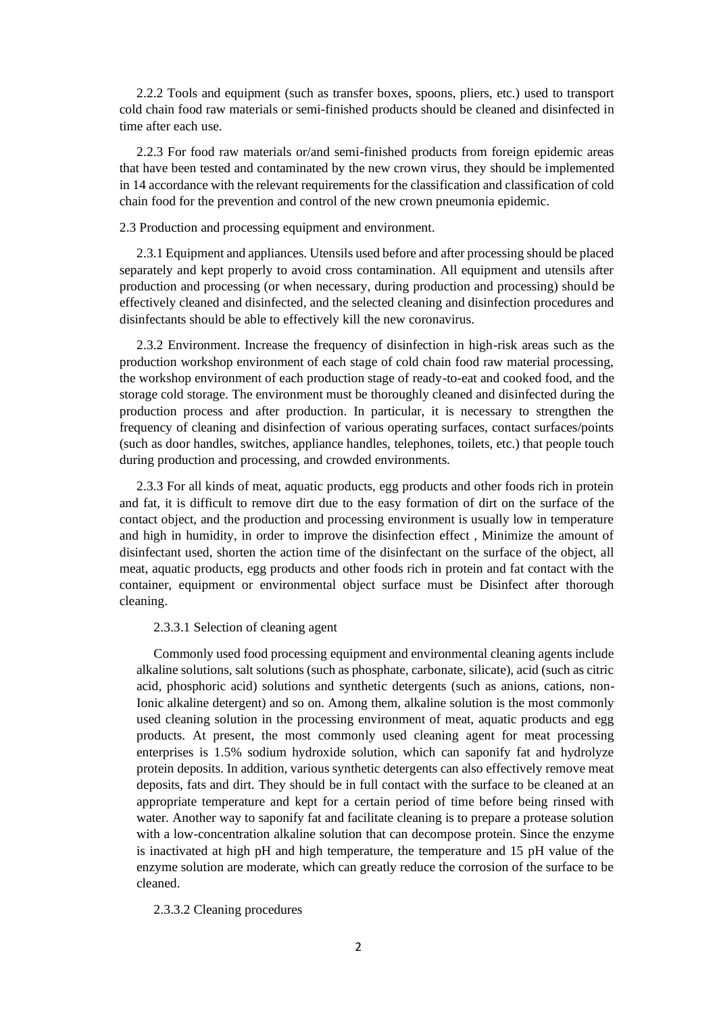2.2.2 Tools and equipment (such as transfer boxes, spoons, pliers, etc.) used to transport cold chain food raw materials or semi-finished products should be cleaned and disinfected in time after each use.

2.2.3 For food raw materials or/and semi-finished products from foreign epidemic areas that have been tested and contaminated by the new crown virus, they should be implemented in 14 accordance with the relevant requirements for the classification and classification of cold chain food for the prevention and control of the new crown pneumonia epidemic.

### 2.3 Production and processing equipment and environment.

2.3.1 Equipment and appliances. Utensils used before and after processing should be placed separately and kept properly to avoid cross contamination. All equipment and utensils after production and processing (or when necessary, during production and processing) should be effectively cleaned and disinfected, and the selected cleaning and disinfection procedures and disinfectants should be able to effectively kill the new coronavirus.

2.3.2 Environment. Increase the frequency of disinfection in high-risk areas such as the production workshop environment of each stage of cold chain food raw material processing, the workshop environment of each production stage of ready-to-eat and cooked food, and the storage cold storage. The environment must be thoroughly cleaned and disinfected during the production process and after production. In particular, it is necessary to strengthen the frequency of cleaning and disinfection of various operating surfaces, contact surfaces/points (such as door handles, switches, appliance handles, telephones, toilets, etc.) that people touch during production and processing, and crowded environments.

2.3.3 For all kinds of meat, aquatic products, egg products and other foods rich in protein and fat, it is difficult to remove dirt due to the easy formation of dirt on the surface of the contact object, and the production and processing environment is usually low in temperature and high in humidity, in order to improve the disinfection effect , Minimize the amount of disinfectant used, shorten the action time of the disinfectant on the surface of the object, all meat, aquatic products, egg products and other foods rich in protein and fat contact with the container, equipment or environmental object surface must be Disinfect after thorough cleaning.

# 2.3.3.1 Selection of cleaning agent

Commonly used food processing equipment and environmental cleaning agents include alkaline solutions, salt solutions (such as phosphate, carbonate, silicate), acid (such as citric acid, phosphoric acid) solutions and synthetic detergents (such as anions, cations, non-Ionic alkaline detergent) and so on. Among them, alkaline solution is the most commonly used cleaning solution in the processing environment of meat, aquatic products and egg products. At present, the most commonly used cleaning agent for meat processing enterprises is 1.5% sodium hydroxide solution, which can saponify fat and hydrolyze protein deposits. In addition, various synthetic detergents can also effectively remove meat deposits, fats and dirt. They should be in full contact with the surface to be cleaned at an appropriate temperature and kept for a certain period of time before being rinsed with water. Another way to saponify fat and facilitate cleaning is to prepare a protease solution with a low-concentration alkaline solution that can decompose protein. Since the enzyme is inactivated at high pH and high temperature, the temperature and 15 pH value of the enzyme solution are moderate, which can greatly reduce the corrosion of the surface to be cleaned.

# 2.3.3.2 Cleaning procedures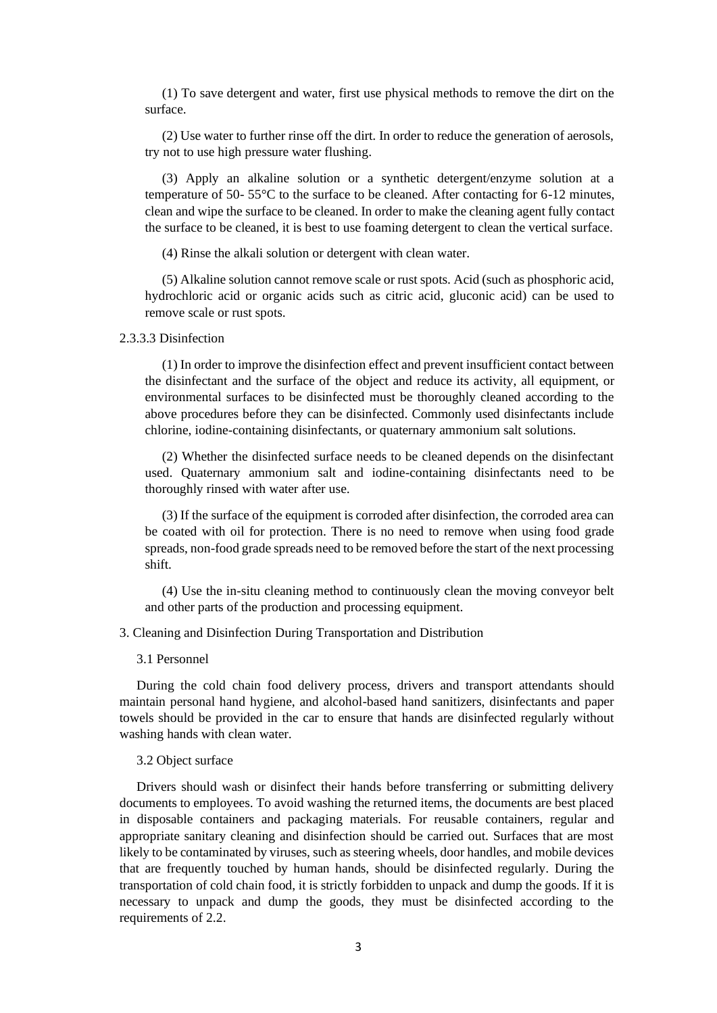(1) To save detergent and water, first use physical methods to remove the dirt on the surface.

(2) Use water to further rinse off the dirt. In order to reduce the generation of aerosols, try not to use high pressure water flushing.

(3) Apply an alkaline solution or a synthetic detergent/enzyme solution at a temperature of 50- 55°C to the surface to be cleaned. After contacting for 6-12 minutes, clean and wipe the surface to be cleaned. In order to make the cleaning agent fully contact the surface to be cleaned, it is best to use foaming detergent to clean the vertical surface.

(4) Rinse the alkali solution or detergent with clean water.

(5) Alkaline solution cannot remove scale or rust spots. Acid (such as phosphoric acid, hydrochloric acid or organic acids such as citric acid, gluconic acid) can be used to remove scale or rust spots.

# 2.3.3.3 Disinfection

(1) In order to improve the disinfection effect and prevent insufficient contact between the disinfectant and the surface of the object and reduce its activity, all equipment, or environmental surfaces to be disinfected must be thoroughly cleaned according to the above procedures before they can be disinfected. Commonly used disinfectants include chlorine, iodine-containing disinfectants, or quaternary ammonium salt solutions.

(2) Whether the disinfected surface needs to be cleaned depends on the disinfectant used. Quaternary ammonium salt and iodine-containing disinfectants need to be thoroughly rinsed with water after use.

(3) If the surface of the equipment is corroded after disinfection, the corroded area can be coated with oil for protection. There is no need to remove when using food grade spreads, non-food grade spreads need to be removed before the start of the next processing shift.

(4) Use the in-situ cleaning method to continuously clean the moving conveyor belt and other parts of the production and processing equipment.

3. Cleaning and Disinfection During Transportation and Distribution

### 3.1 Personnel

During the cold chain food delivery process, drivers and transport attendants should maintain personal hand hygiene, and alcohol-based hand sanitizers, disinfectants and paper towels should be provided in the car to ensure that hands are disinfected regularly without washing hands with clean water.

### 3.2 Object surface

Drivers should wash or disinfect their hands before transferring or submitting delivery documents to employees. To avoid washing the returned items, the documents are best placed in disposable containers and packaging materials. For reusable containers, regular and appropriate sanitary cleaning and disinfection should be carried out. Surfaces that are most likely to be contaminated by viruses, such as steering wheels, door handles, and mobile devices that are frequently touched by human hands, should be disinfected regularly. During the transportation of cold chain food, it is strictly forbidden to unpack and dump the goods. If it is necessary to unpack and dump the goods, they must be disinfected according to the requirements of 2.2.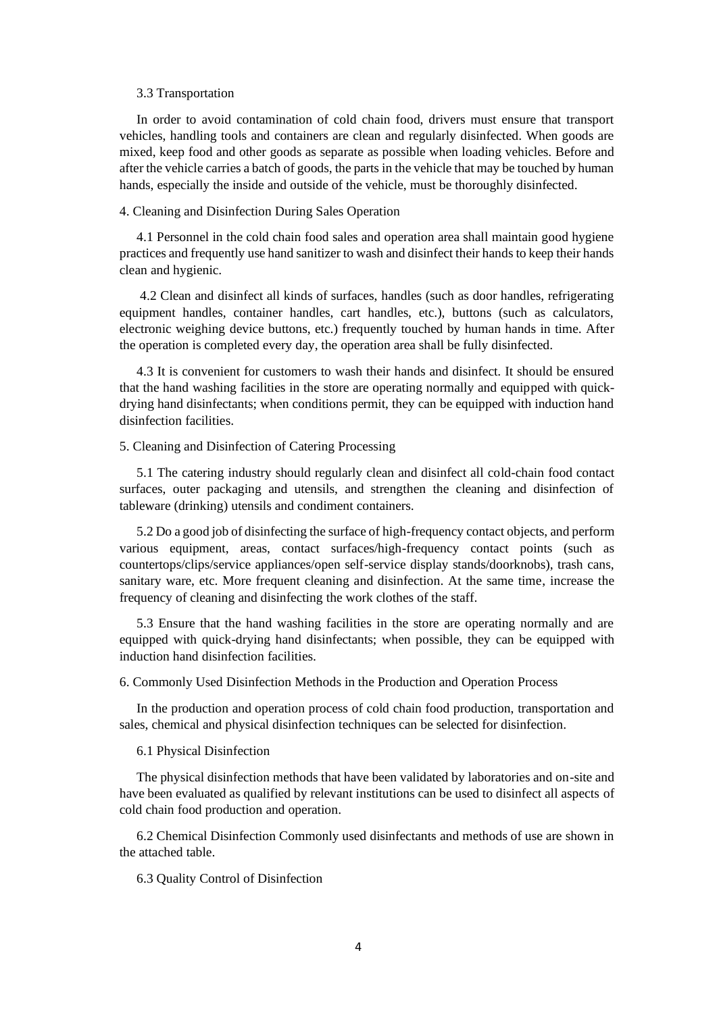# 3.3 Transportation

In order to avoid contamination of cold chain food, drivers must ensure that transport vehicles, handling tools and containers are clean and regularly disinfected. When goods are mixed, keep food and other goods as separate as possible when loading vehicles. Before and after the vehicle carries a batch of goods, the parts in the vehicle that may be touched by human hands, especially the inside and outside of the vehicle, must be thoroughly disinfected.

# 4. Cleaning and Disinfection During Sales Operation

4.1 Personnel in the cold chain food sales and operation area shall maintain good hygiene practices and frequently use hand sanitizer to wash and disinfect their hands to keep their hands clean and hygienic.

4.2 Clean and disinfect all kinds of surfaces, handles (such as door handles, refrigerating equipment handles, container handles, cart handles, etc.), buttons (such as calculators, electronic weighing device buttons, etc.) frequently touched by human hands in time. After the operation is completed every day, the operation area shall be fully disinfected.

4.3 It is convenient for customers to wash their hands and disinfect. It should be ensured that the hand washing facilities in the store are operating normally and equipped with quickdrying hand disinfectants; when conditions permit, they can be equipped with induction hand disinfection facilities.

## 5. Cleaning and Disinfection of Catering Processing

5.1 The catering industry should regularly clean and disinfect all cold-chain food contact surfaces, outer packaging and utensils, and strengthen the cleaning and disinfection of tableware (drinking) utensils and condiment containers.

5.2 Do a good job of disinfecting the surface of high-frequency contact objects, and perform various equipment, areas, contact surfaces/high-frequency contact points (such as countertops/clips/service appliances/open self-service display stands/doorknobs), trash cans, sanitary ware, etc. More frequent cleaning and disinfection. At the same time, increase the frequency of cleaning and disinfecting the work clothes of the staff.

5.3 Ensure that the hand washing facilities in the store are operating normally and are equipped with quick-drying hand disinfectants; when possible, they can be equipped with induction hand disinfection facilities.

6. Commonly Used Disinfection Methods in the Production and Operation Process

In the production and operation process of cold chain food production, transportation and sales, chemical and physical disinfection techniques can be selected for disinfection.

#### 6.1 Physical Disinfection

The physical disinfection methods that have been validated by laboratories and on-site and have been evaluated as qualified by relevant institutions can be used to disinfect all aspects of cold chain food production and operation.

6.2 Chemical Disinfection Commonly used disinfectants and methods of use are shown in the attached table.

6.3 Quality Control of Disinfection